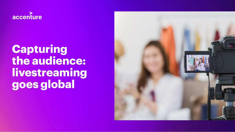

# **Capturing the audience: livestreaming goes global**

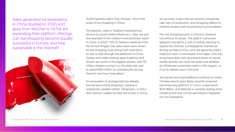Sales generated via livestreams in China doubled in 2020, and apps from WeChat to TikTok are expanding their platform offerings. Can live shopping become equally successful in Europe, and how sustainable is the channel?



15,000 lipsticks sold in five minutes - this is the scale of live shopping in China.

The lipsticks, sold on Taobao's livestreaming service by social media influencer Li Jiaqi, are just one example of the medium's extraordinary reach in China. In 2020, 7.5% of Taobao's revenues from the annual Singles' Day sales event were driven by live shopping. Everything from cosmetics to cars is sold through live platforms in China. Taobao and video-sharing apps Kuaishou and Douyin are some of the biggest players, with 50 million viewers tuning in on the latter last year to spend \$30 million on smartphones during Xiaomi's two-hour-long debut.<sup>1</sup>

An ecosystem of protagonists has already formed around live shopping, creating a substantial, reliable market. Influencers, or KOLs (Key Opinion Leader) as they are known in China,

act as hosts, multi-channel network companies take care of production, and shopping platforms interlink streams with ecommerce functionalities.

The live shopping boom in China is, however, not without its issues. The spike in consumer adoption has led to a rush of brands wanting to exploit the channel. Consequently, brands are driving up fees of KOLs, who are generally paid a fixed sum plus a commission from sales. And, just as we have seen with sponsored posts on social media, brands can never be quite sure whether an influencer's promised reach is fully organic, or if some viewers are in fact bots.

Yet brands and retail platforms continue to invest. Chinese search giant Baidu recently acquired live streaming platform YY Live in a deal worth \$3.6 Million, and WeChat is currently testing store infrastructure that can be seamlessly integrated into its livestreams.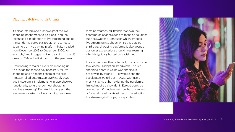## Playing catch up with China

It's clear retailers and brands expect the live shopping phenomena to go global, and the recent spike in adoption of live streaming due to the pandemic backs this prediction up. Active streamers on live gaming platform Twitch tripled from December 2019 to December 2020, for example,<sup>2</sup> and Instagram Live streaming in the US grew by 70% in the first month of the pandemic.<sup>3</sup>

Unsurprisingly, major players are stepping up to provide the technology necessary for live shopping and claim their share of the cake. Amazon rolled out Amazon Live4 in July 2020 and Instagram is implementing in-app checkout functionality to further connect shopping and live streaming.<sup>5</sup> Despite this progress, the western ecosystem of live shopping platforms

remains fragmented. Brands that own their ecommerce channels tend to focus on solutions such as Sweden's Bambuser, which embeds live streaming into shops. While this cuts out third-party shopping platforms, it also upends customer expectations around livestreaming, which is typically hosted on social media.

Europe has one other potentially major obstacle to successful adoption: bandwidth. The live shopping boom in China was enabled, if not driven, by strong LTE coverage and the accelerated 5G roll-out in 2020. With users mostly staying at home during the pandemic, limited mobile bandwidth in Europe could be overlooked. It's unclear just how big the impact of 'normal' travel habits will be on the adoption of live streaming in Europe, post-pandemic.

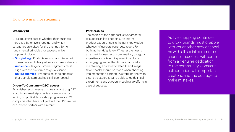## How to win in live streaming

#### **Category fit**

CPGs must first assess whether their business model is a fit for live shopping, and which categories are suited for the channel. Some fundamental principles for success in live shopping include:

- Storytelling Products must spark interest with consumers and ideally allow for a demonstration
- Audience Target customer segments must align with the platform's target audience
- Unit Economics Products must be priced so that a single item basket is still economical

#### **Direct-To-Consumer (D2C) access**

Established ecommerce channels or a strong D2C footprint on marketplaces is a prerequisite for setting up profitable live shopping events. CPG companies that have not yet built their D2C routes can instead partner with a retailer.

#### **Partnerships**

The choice of the right host is fundamental to success in live shopping. An internal product expert brings in the right knowledge, whereas influencers contribute reach. For both, authenticity is key. Whether the host is an expert, influencer or combination, category expertise and a talent to present products in an engaging and authentic way is crucial to maintaining a carefully crafted brand image. No cutbacks should be made when choosing implementation partners. A strong partner with extensive expertise will be able to guide initial experiments and support in scaling up efforts in case of success.

As live shopping continues to grow, brands must grapple with yet another new channel. As with all social commerce channels, success will come from a genuine dedication to the community, constant collaboration with important creators, and the courage to make mistakes.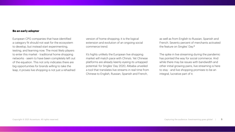#### **Be an early adopter**

European CPG companies that have identified a category fit should not wait for the ecosystem to develop, but instead start experimenting, testing, and learning now. The most likely players to enter this market - traditional home shopping networks - seem to have been completely left out of the equation. This not only indicates there are big opportunities for brands willing to take the leap, it proves live shopping is not just a rehashed

version of home shopping; it is the logical extension and evolution of an ongoing social commerce trend.

It's highly unlikely the European live shopping market will match pace with China's. Yet Chinese platforms are already keenly eyeing its untapped potential: for Singles' Day 2020, Alibaba unveiled a tool that translates live streams in real time from Chinese to English, Russian, Spanish and French,

as well as from English to Russian, Spanish and French. Seventy percent of merchants activated the feature on Singles' Day.<sup>6</sup>

The spike in live streaming during the pandemic has pointed the way for social commerce. And while there may be issues with bandwidth and other initial growing pains, live streaming is here to stay - and live shopping promises to be an integral, lucrative part of it.